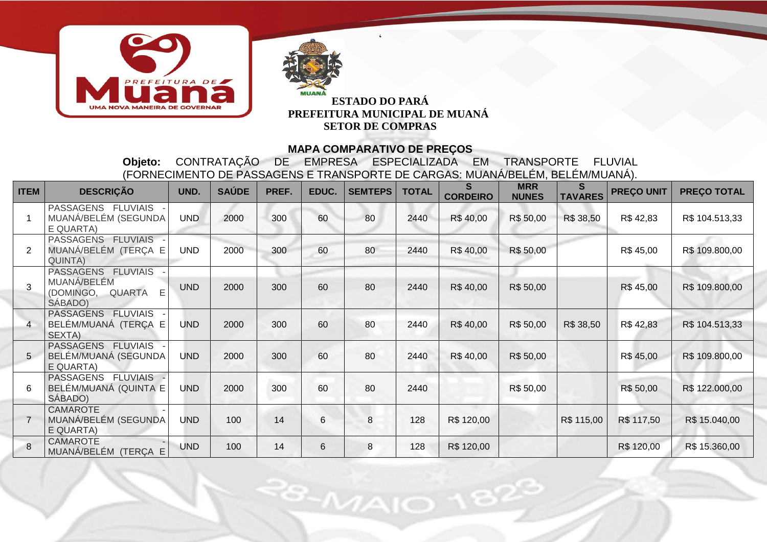



 $\ddot{\phantom{0}}$ 

#### **MAPA COMPARATIVO DE PREÇOS**

**Objeto:** CONTRATAÇÃO DE EMPRESA ESPECIALIZADA EM TRANSPORTE FLUVIAL (FORNECIMENTO DE PASSAGENS E TRANSPORTE DE CARGAS: MUANÁ/BELÉM, BELÉM/MUANÁ).

| <b>ITEM</b>    | <b>DESCRIÇÃO</b>                                                      | UND.       | <b>SAÚDE</b> | PREF. | EDUC. | <b>SEMTEPS</b> | <b>TOTAL</b> | S<br><b>CORDEIRO</b> | <b>MRR</b><br><b>NUNES</b> | S<br><b>TAVARES</b> | <b>PREÇO UNIT</b> | <b>PREÇO TOTAL</b> |
|----------------|-----------------------------------------------------------------------|------------|--------------|-------|-------|----------------|--------------|----------------------|----------------------------|---------------------|-------------------|--------------------|
|                | PASSAGENS FLUVIAIS<br>MUANÁ/BELÉM (SEGUNDA<br>E QUARTA)               | <b>UND</b> | 2000         | 300   | 60    | 80             | 2440         | R\$40,00             | R\$ 50,00                  | R\$ 38,50           | R\$42,83          | R\$ 104.513,33     |
| 2              | PASSAGENS FLUVIAIS -<br>MUANÁ/BELÉM (TERÇA E<br>QUINTA)               | <b>UND</b> | 2000         | 300   | 60    | 80             | 2440         | R\$40,00             | R\$ 50,00                  |                     | R\$45,00          | R\$ 109.800,00     |
| 3              | PASSAGENS FLUVIAIS<br>MUANÁ/BELÉM<br>(DOMINGO, QUARTA<br>E<br>SÁBADO) | <b>UND</b> | 2000         | 300   | 60    | 80             | 2440         | R\$40,00             | R\$ 50,00                  |                     | R\$45,00          | R\$ 109.800,00     |
| $\overline{4}$ | <b>PASSAGENS</b><br><b>FLUVIAIS</b><br>BELÉM/MUANÁ (TERÇA E<br>SEXTA) | <b>UND</b> | 2000         | 300   | 60    | 80             | 2440         | R\$40,00             | R\$ 50,00                  | R\$ 38,50           | R\$42,83          | R\$ 104.513,33     |
| 5              | PASSAGENS FLUVIAIS<br>BELÉM/MUANÁ (SEGUNDA<br>E QUARTA)               | <b>UND</b> | 2000         | 300   | 60    | 80             | 2440         | R\$40,00             | R\$ 50,00                  |                     | R\$45,00          | R\$ 109.800,00     |
| 6              | PASSAGENS FLUVIAIS<br>BELÉM/MUANÁ (QUINTA E<br>SÁBADO)                | <b>UND</b> | 2000         | 300   | 60    | 80             | 2440         |                      | R\$ 50,00                  |                     | R\$ 50,00         | R\$ 122.000,00     |
| $\overline{7}$ | <b>CAMAROTE</b><br>MUANÁ/BELÉM (SEGUNDA<br>E QUARTA)                  | <b>UND</b> | 100          | 14    | 6     | 8              | 128          | R\$ 120,00           |                            | R\$ 115,00          | R\$ 117,50        | R\$ 15.040,00      |
| 8              | <b>CAMAROTE</b><br>MUANÁ/BELÉM (TERÇA E                               | <b>UND</b> | 100          | 14    | 6     | 8              | 128          | R\$ 120,00           |                            |                     | R\$ 120,00        | R\$ 15.360,00      |

 $8 - M A$ IO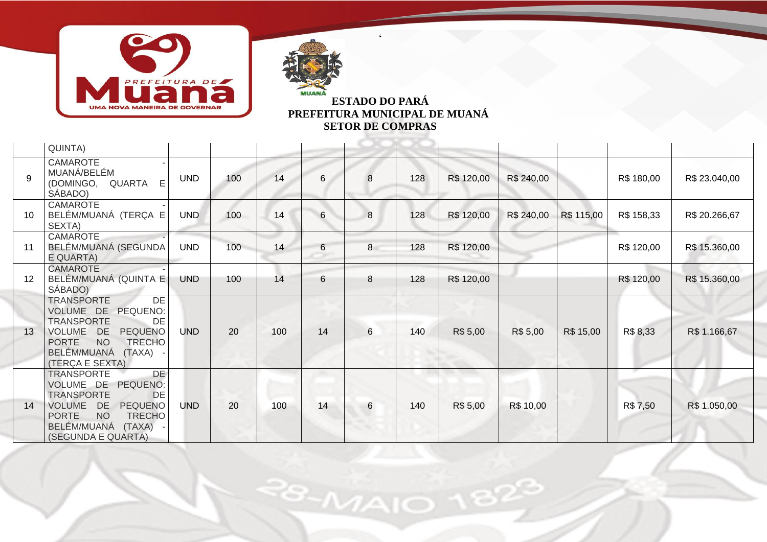



 $\ddot{\phantom{0}}$ 

|    | QUINTA)                                                                                                                                                                                                                  |            |     |     |                |   |     |            |            |            |            |               |
|----|--------------------------------------------------------------------------------------------------------------------------------------------------------------------------------------------------------------------------|------------|-----|-----|----------------|---|-----|------------|------------|------------|------------|---------------|
| 9  | <b>CAMAROTE</b><br>MUANÁ/BELÉM<br>E<br>(DOMINGO, QUARTA<br>SÁBADO)                                                                                                                                                       | <b>UND</b> | 100 | 14  | 6              | 8 | 128 | R\$ 120,00 | R\$ 240,00 |            | R\$ 180,00 | R\$ 23.040,00 |
| 10 | CAMAROTE<br>BELÉM/MUANÁ (TERÇA E<br>SEXTA)                                                                                                                                                                               | <b>UND</b> | 100 | 14  | 6              | 8 | 128 | R\$ 120,00 | R\$ 240,00 | R\$ 115,00 | R\$ 158,33 | R\$ 20.266,67 |
| 11 | <b>CAMAROTE</b><br>BELÉM/MUANÁ (SEGUNDA<br>E QUARTA)                                                                                                                                                                     | <b>UND</b> | 100 | 14  | 6              | 8 | 128 | R\$ 120,00 |            |            | R\$ 120,00 | R\$ 15.360,00 |
| 12 | <b>CAMAROTE</b><br>BELÉM/MUANÁ (QUINTA E<br>SÁBADO)                                                                                                                                                                      | <b>UND</b> | 100 | 14  | $6\phantom{1}$ | 8 | 128 | R\$ 120,00 |            |            | R\$ 120,00 | R\$ 15.360,00 |
| 13 | DE<br><b>TRANSPORTE</b><br>VOLUME DE<br>PEQUENO:<br><b>TRANSPORTE</b><br>DE<br>VOLUME DE<br><b>PEQUENO</b><br><b>NO</b><br><b>TRECHO</b><br><b>PORTE</b><br>BELÉM/MUANÁ<br>(TAXA)<br>(TERÇA E SEXTA)                     | <b>UND</b> | 20  | 100 | 14             | 6 | 140 | R\$ 5,00   | R\$ 5,00   | R\$ 15,00  | R\$ 8,33   | R\$ 1.166,67  |
| 14 | <b>DE</b><br><b>TRANSPORTE</b><br>VOLUME DE<br>PEQUENO:<br><b>TRANSPORTE</b><br>DE<br><b>PEQUENO</b><br><b>VOLUME</b><br>DE<br><b>NO</b><br><b>PORTE</b><br><b>TRECHO</b><br>BELÉM/MUANÁ<br>(TAXA)<br>(SEGUNDA E QUARTA) | <b>UND</b> | 20  | 100 | 14             | 6 | 140 | R\$ 5,00   | R\$ 10,00  |            | R\$ 7,50   | R\$ 1.050,00  |

 $8 - MAI$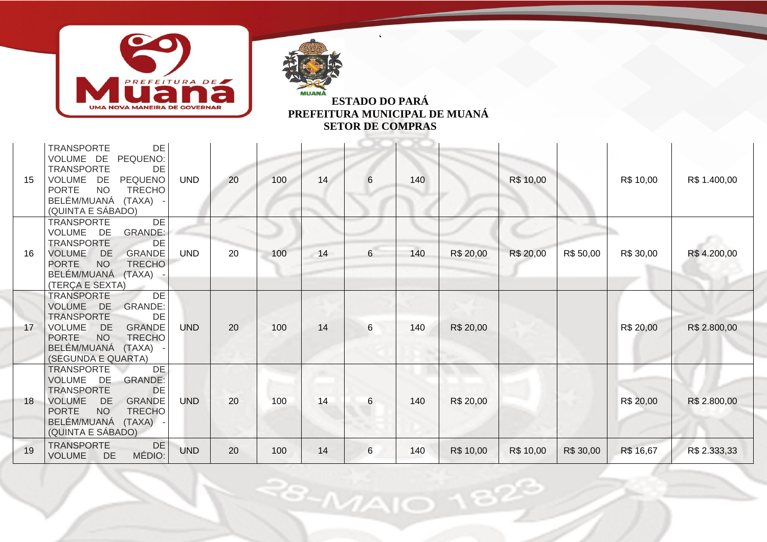



 $\ddot{\phantom{0}}$ 

| 15 | DE<br><b>TRANSPORTE</b><br>VOLUME DE<br>PEQUENO:<br><b>TRANSPORTE</b><br>DE<br><b>PEQUENO</b><br>VOLUME<br>DE<br><b>NO</b><br>PORTE<br><b>TRECHO</b><br>BELÉM/MUANÁ<br>(TAXA) -<br>(QUINTA E SÁBADO)                               | <b>UND</b> | 20 | 100 | 14 | 6               | 140 |           | R\$ 10,00 |           | R\$ 10,00 | R\$ 1.400,00 |
|----|------------------------------------------------------------------------------------------------------------------------------------------------------------------------------------------------------------------------------------|------------|----|-----|----|-----------------|-----|-----------|-----------|-----------|-----------|--------------|
| 16 | DE<br><b>TRANSPORTE</b><br>VOLUME<br>DE.<br><b>GRANDE:</b><br><b>TRANSPORTE</b><br>DE<br><b>GRANDE</b><br><b>VOLUME</b><br><b>DE</b><br><b>NO</b><br><b>PORTE</b><br><b>TRECHO</b><br>BELÉM/MUANÁ (TAXA) -<br>(TERÇA E SEXTA)      | <b>UND</b> | 20 | 100 | 14 | $6\overline{6}$ | 140 | R\$ 20,00 | R\$ 20,00 | R\$ 50,00 | R\$ 30,00 | R\$4.200,00  |
| 17 | DE<br><b>TRANSPORTE</b><br>VOLUME DE<br><b>GRANDE:</b><br><b>TRANSPORTE</b><br>DE<br><b>GRANDE</b><br><b>VOLUME</b><br><b>DE</b><br><b>NO</b><br><b>PORTE</b><br><b>TRECHO</b><br>BELÉM/MUANÁ<br>(TAXA)<br>(SEGUNDA E QUARTA)      | <b>UND</b> | 20 | 100 | 14 | 6               | 140 | R\$ 20,00 |           |           | R\$ 20,00 | R\$ 2.800,00 |
| 18 | <b>TRANSPORTE</b><br><b>DE</b><br>VOLUME DE<br><b>GRANDE:</b><br>DE<br><b>TRANSPORTE</b><br><b>VOLUME</b><br><b>DE</b><br><b>GRANDE</b><br><b>NO</b><br><b>TRECHO</b><br><b>PORTE</b><br>BELÉM/MUANÁ (TAXA) -<br>(QUINTA E SÁBADO) | <b>UND</b> | 20 | 100 | 14 | 6               | 140 | R\$ 20,00 |           |           | R\$ 20,00 | R\$ 2.800,00 |
| 19 | <b>TRANSPORTE</b><br>DE<br>MÉDIO:<br>DE<br><b>VOLUME</b>                                                                                                                                                                           | <b>UND</b> | 20 | 100 | 14 | 6               | 140 | R\$ 10,00 | R\$ 10,00 | R\$ 30,00 | R\$ 16,67 | R\$ 2.333,33 |

 $8 - M$ AIO

2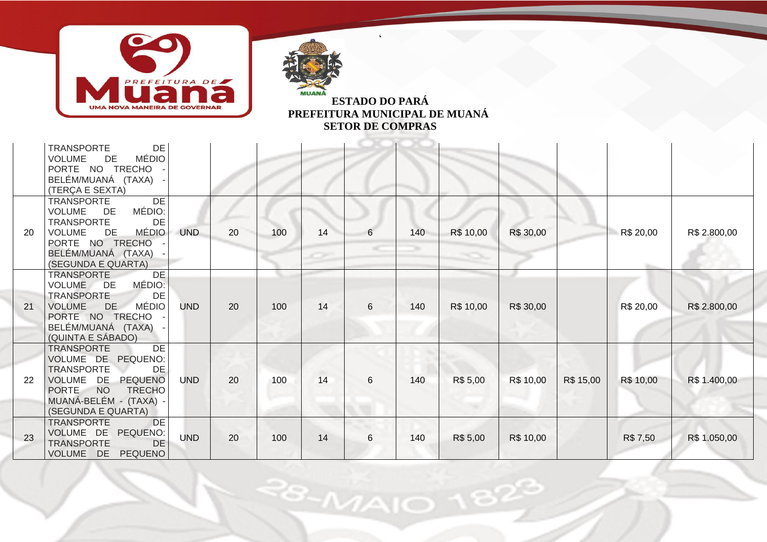



 $\ddot{\phantom{0}}$ 

|           | <b>TRANSPORTE</b><br>DE<br><b>MÉDIO</b><br><b>VOLUME</b><br>DE<br>PORTE NO TRECHO<br>BELÉM/MUANÁ (TAXA)<br>(TERÇA E SEXTA)                                                                |            |    |     |    |   |     |           |           |           |           |              |
|-----------|-------------------------------------------------------------------------------------------------------------------------------------------------------------------------------------------|------------|----|-----|----|---|-----|-----------|-----------|-----------|-----------|--------------|
| <b>20</b> | DE<br><b>TRANSPORTE</b><br>MÉDIO:<br>DE<br><b>VOLUME</b><br><b>TRANSPORTE</b><br>DE<br><b>MÉDIO</b><br>DE<br><b>VOLUME</b><br>PORTE NO TRECHO<br>BELÉM/MUANÁ (TAXA)<br>(SEGUNDA E QUARTA) | <b>UND</b> | 20 | 100 | 14 | 6 | 140 | R\$ 10,00 | R\$ 30,00 |           | R\$ 20,00 | R\$ 2.800,00 |
| 21        | <b>TRANSPORTE</b><br>DE<br>MÉDIO:<br>VOLUME DE<br><b>TRANSPORTE</b><br>DE<br><b>MÉDIO</b><br><b>VOLUME</b><br>DE<br>PORTE NO TRECHO<br>BELÉM/MUANÁ (TAXA)<br>(QUINTA E SÁBADO)            | <b>UND</b> | 20 | 100 | 14 | 6 | 140 | R\$ 10,00 | R\$ 30,00 |           | R\$ 20,00 | R\$ 2.800,00 |
| 22        | <b>TRANSPORTE</b><br>DE<br>VOLUME DE PEQUENO:<br><b>TRANSPORTE</b><br>DE<br>VOLUME DE PEQUENO<br>PORTE NO<br><b>TRECHO</b><br>MUANÁ-BELÉM - (TAXA)<br>(SEGUNDA E QUARTA)                  | <b>UND</b> | 20 | 100 | 14 | 6 | 140 | R\$ 5,00  | R\$ 10,00 | R\$ 15,00 | R\$ 10,00 | R\$ 1.400,00 |
| 23        | <b>TRANSPORTE</b><br><b>DE</b><br>VOLUME DE<br>PEQUENO:<br><b>TRANSPORTE</b><br><b>DE</b><br>VOLUME DE PEQUENO                                                                            | <b>UND</b> | 20 | 100 | 14 | 6 | 140 | R\$ 5,00  | R\$ 10,00 |           | R\$ 7,50  | R\$ 1.050,00 |

 $8 - M$ AIO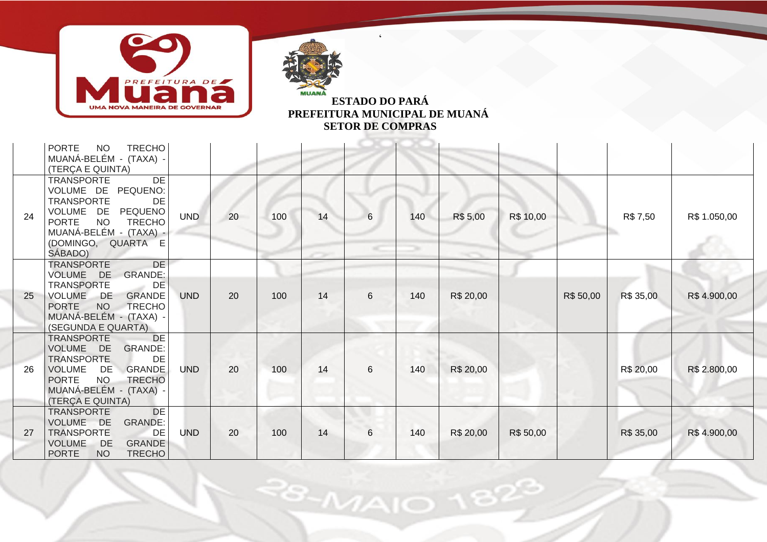



 $\ddot{\phantom{0}}$ 

|    | <b>PORTE</b><br><b>NO</b><br><b>TRECHO</b><br>MUANÁ-BELÉM - (TAXA) -<br>(TERÇA E QUINTA)                                                                                                                            |            |    |     |    |   |     |           |           |           |           |              |
|----|---------------------------------------------------------------------------------------------------------------------------------------------------------------------------------------------------------------------|------------|----|-----|----|---|-----|-----------|-----------|-----------|-----------|--------------|
| 24 | DE<br><b>TRANSPORTE</b><br>VOLUME DE PEQUENO:<br><b>TRANSPORTE</b><br>DE<br>VOLUME DE<br>PEQUENO<br><b>PORTE</b><br><b>NO</b><br><b>TRECHO</b><br>MUANÁ-BELÉM - (TAXA) -<br>(DOMINGO, QUARTA E<br>SÁBADO)           | <b>UND</b> | 20 | 100 | 14 | 6 | 140 | R\$ 5,00  | R\$ 10,00 |           | R\$ 7,50  | R\$ 1.050,00 |
| 25 | <b>DE</b><br><b>TRANSPORTE</b><br><b>GRANDE:</b><br>VOLUME DE<br>DE<br><b>TRANSPORTE</b><br><b>GRANDE</b><br><b>VOLUME</b><br>DE<br>PORTE NO<br>TRECHO<br>MUANÁ-BELÉM - (TAXA) -<br>(SEGUNDA E QUARTA)              | <b>UND</b> | 20 | 100 | 14 | 6 | 140 | R\$ 20,00 |           | R\$ 50,00 | R\$ 35,00 | R\$4.900,00  |
| 26 | DE<br><b>TRANSPORTE</b><br><b>GRANDE:</b><br>VOLUME DE<br><b>TRANSPORTE</b><br>DE<br><b>GRANDE</b><br><b>VOLUME</b><br>DE<br><b>PORTE</b><br><b>NO</b><br><b>TRECHO</b><br>MUANÁ-BELÉM - (TAXA)<br>(TERÇA E QUINTA) | <b>UND</b> | 20 | 100 | 14 | 6 | 140 | R\$ 20,00 |           |           | R\$ 20,00 | R\$ 2.800,00 |
| 27 | DE<br>TRANSPORTE<br>VOLUME DE<br><b>GRANDE:</b><br><b>TRANSPORTE</b><br>DE<br><b>VOLUME</b><br><b>GRANDE</b><br>DE<br><b>PORTE</b><br><b>NO</b><br><b>TRECHO</b>                                                    | <b>UND</b> | 20 | 100 | 14 | 6 | 140 | R\$ 20,00 | R\$ 50,00 |           | R\$ 35,00 | R\$4.900,00  |

 $8 - M$ AIO